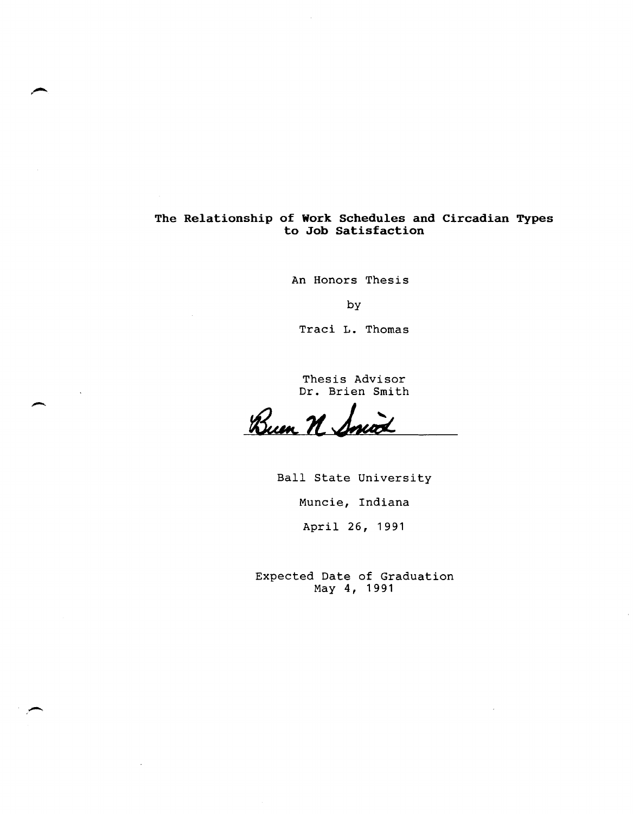## **The Relationship of Work Schedules and Circadian Types to Job Satisfaction**

An Honors Thesis

by

Traci L. Thomas

Thesis Advisor Dr. Brien Smith

Bum N. Smith

 $\overline{\phantom{0}}$ 

-

Ball State University

Muncie, Indiana

April 26, 1991

Expected Date of Graduation May 4, 1991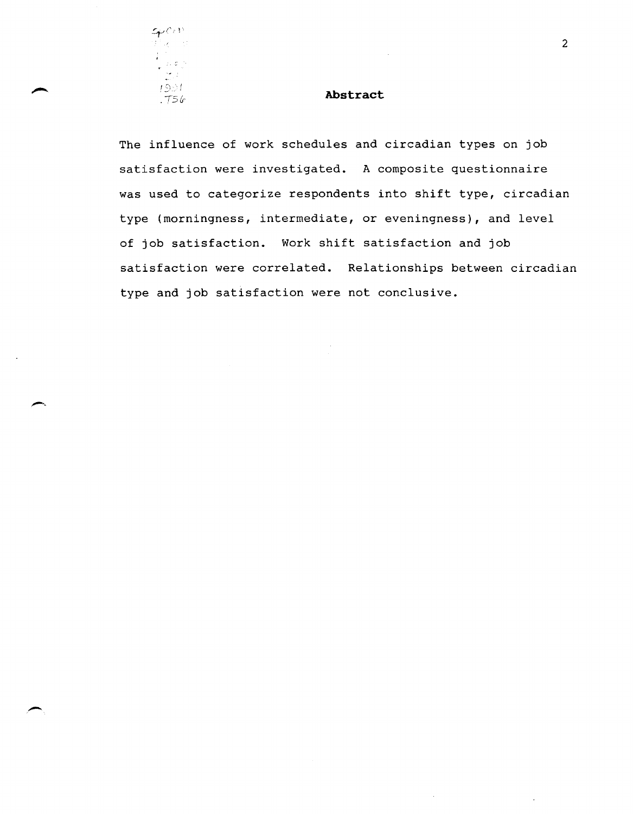

. -

# .75f.r **Abstract**

The influence of work schedules and circadian types on job satisfaction were investigated. A composite questionnaire was used to categorize respondents into shift type, circadian type (morningness, intermediate, or eveningness), and level of job satisfaction. Work shift satisfaction and job satisfaction were correlated. Relationships between circadian type and job satisfaction were not conclusive.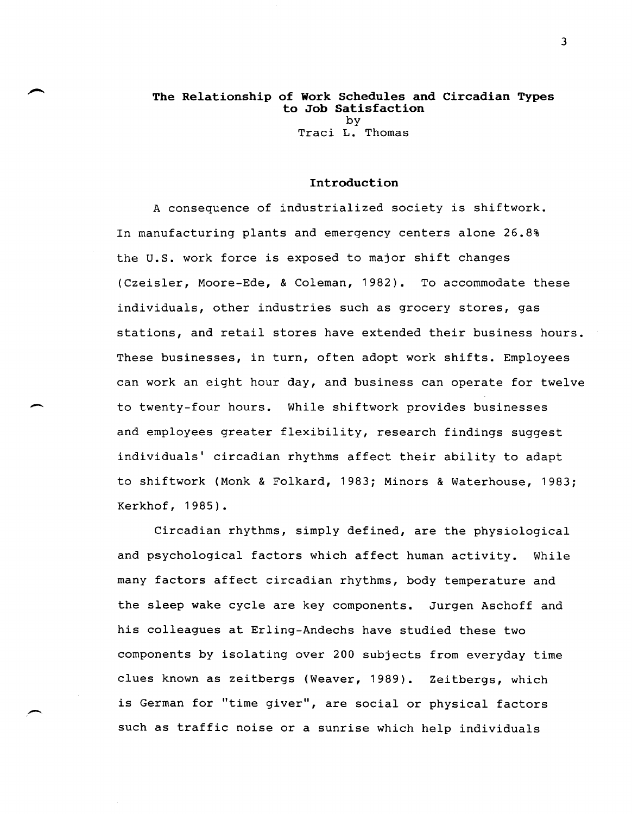## **The Relationship of Work Schedules and Circadian Types to Job Satisfaction**  by

Traci L. Thomas

### **Introduction**

A consequence of industrialized society is shiftwork. In manufacturing plants and emergency centers alone 26.8% the u.s. work force is exposed to major shift changes (Czeisler, Moore-Ede, & Coleman, 1982). To accommodate these individuals, other industries such as grocery stores, gas stations, and retail stores have extended their business hours. These businesses, in turn, often adopt work shifts. Employees can work an eight hour day, and business can operate for twelve to twenty-four hours. While shiftwork provides businesses and employees greater flexibility, research findings suggest individuals' circadian rhythms affect their ability to adapt to shiftwork (Monk & Folkard, 1983; Minors & Waterhouse, 1983; Kerkhof, 1985).

 $\overline{\phantom{a}}$ 

Circadian rhythms, simply defined, are the physiological and psychological factors which affect human activity. While many factors affect circadian rhythms, body temperature and the sleep wake cycle are key components. Jurgen Aschoff and his colleagues at Erling-Andechs have studied these two components by isolating over 200 subjects from everyday time clues known as zeitbergs (Weaver, 1989). Zeitbergs, which is German for "time giver", are social or physical factors such as traffic noise or a sunrise which help individuals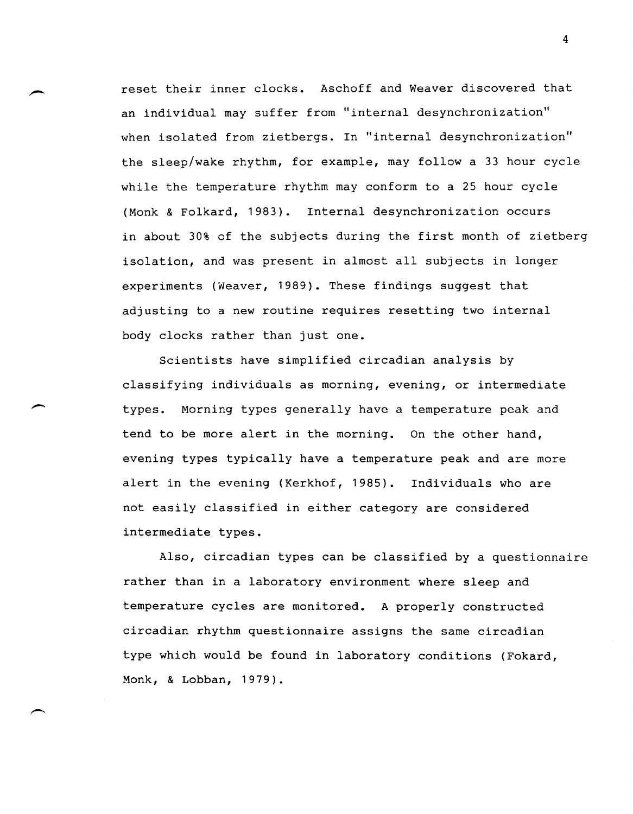reset their inner clocks. Aschoff and Weaver discovered that an individual may suffer from "internal desynchronization" when isolated from zietbergs. In "internal desynchronization" the sleep/wake rhythm, for example, may follow a 33 hour cycle while the temperature rhythm may conform to a 25 hour cycle (Monk & Folkard, 1983). Internal desynchronization occurs in about 30% of the subjects during the first month of zietberg isolation, and was present in almost all subjects in longer experiments (Weaver, 1989). These findings suggest that adjusting to a new routine requires resetting two internal body clocks rather than just one.

Scientists have simplified circadian analysis by classifying individuals as morning, evening, or intermediate types. Morning types generally have a temperature peak and tend to be more alert in the morning. On the other hand, evening types typically have a temperature peak and are more alert in the evening (Kerkhof, 1985). Individuals who are not easily classified in either category are considered intermediate types.

Also, circadian types can be classified by a questionnaire rather than in a laboratory environment where sleep and temperature cycles are monitored. A properly constructed circadian rhythm questionnaire assigns the same circadian type which would be found in laboratory conditions (Fokard, Monk, & Lobban, 1979).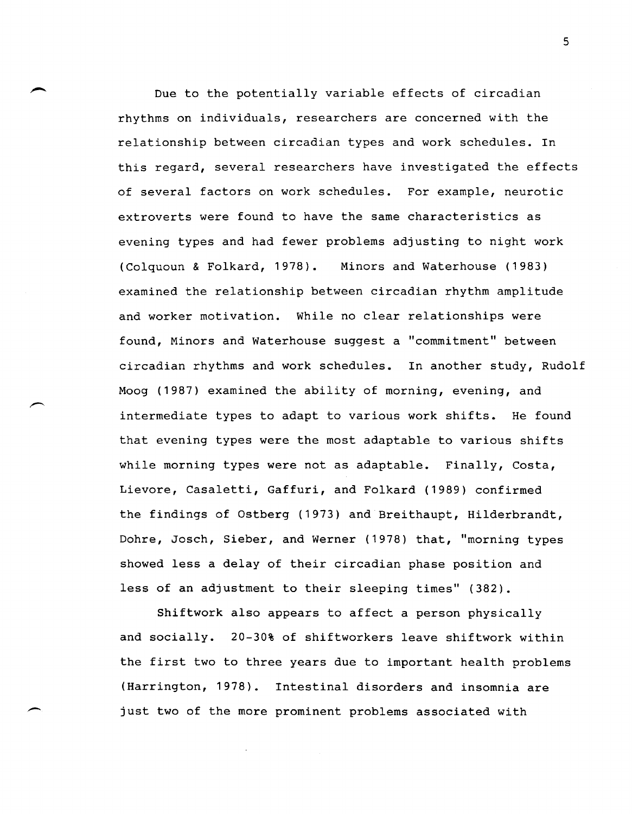Due to the potentially variable effects of circadian rhythms on individuals, researchers are concerned with the relationship between circadian types and work schedules. In this regard, several researchers have investigated the effects of several factors on work schedules. For example, neurotic extroverts were found to have the same characteristics as evening types and had fewer problems adjusting to night work (Colquoun & Folkard, 1978). Minors and waterhouse (1983) examined the relationship between circadian rhythm amplitude and worker motivation. While no clear relationships were found, Minors and Waterhouse suggest a "commitment" between circadian rhythms and work schedules. In another study, Rudolf Moog (1987) examined the ability of morning, evening, and intermediate types to adapt to various work shifts. He found that evening types were the most adaptable to various shifts while morning types were not as adaptable. Finally, Costa, Lievore, Casaletti, Gaffuri, and Folkard (1989) confirmed the findings of Ostberg (1973) and Breithaupt, Hilderbrandt, Dohre, Josch, Sieber, and Werner (1978) that, "morning types showed less a delay of their circadian phase position and less of an adjustment to their sleeping times" (382).

Shiftwork also appears to affect a person physically and socially. 20-30% of shiftworkers leave shiftwork within the first two to three years due to important health problems (Harrington, 1978). Intestinal disorders and insomnia are just two of the more prominent problems associated with

-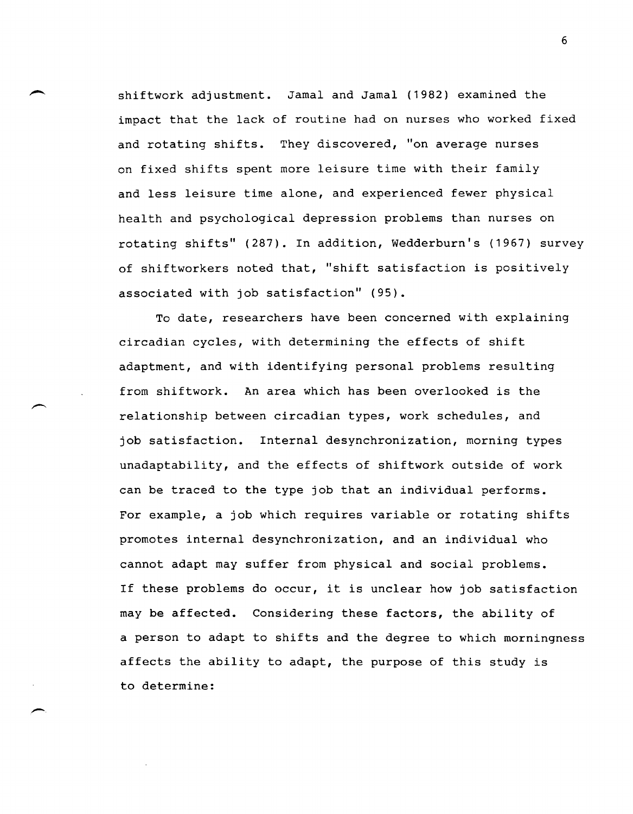shiftwork adjustment. Jamal and Jamal (1982) examined the impact that the lack of routine had on nurses who worked fixed and rotating shifts. They discovered, "on average nurses on fixed shifts spent more leisure time with their family and less leisure time alone, and experienced fewer physical health and psychological depression problems than nurses on rotating shifts" (287). In addition, Wedderburn's (1967) survey of shiftworkers noted that, "shift satisfaction is positively associated with job satisfaction" (95).

To date, researchers have been concerned with explaining circadian cycles, with determining the effects of shift adaptment, and with identifying personal problems resulting from shiftwork. An area which has been overlooked is the relationship between circadian types, work schedules, and job satisfaction. Internal desynchronization, morning types unadaptability, and the effects of shiftwork outside of work can be traced to the type job that an individual performs. For example, a job which requires variable or rotating shifts promotes internal desynchronization, and an individual who cannot adapt may suffer from physical and social problems. If these problems do occur, it is unclear how job satisfaction may be affected. Considering these factors, the ability of a person to adapt to shifts and the degree to which morningness affects the ability to adapt, the purpose of this study is to determine: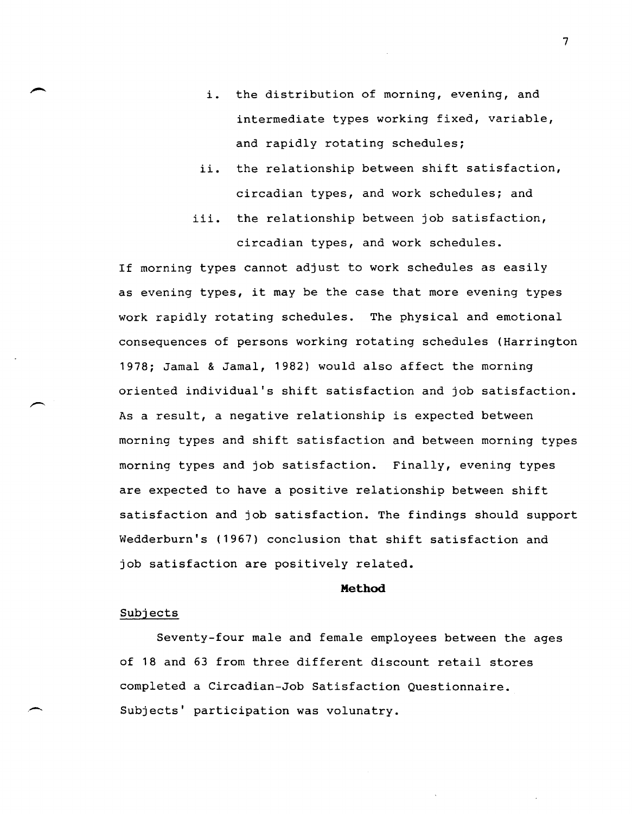- i. the distribution of morning, evening, and intermediate types working fixed, variable, and rapidly rotating schedules;
- ii. the relationship between shift satisfaction, circadian types, and work schedules; and
- iii. the relationship between job satisfaction, circadian types, and work schedules.

If morning types cannot adjust to work schedules as easily as evening types, it may be the case that more evening types work rapidly rotating schedules. The physical and emotional consequences of persons working rotating schedules (Harrington 1978; Jamal & Jamal, 1982) would also affect the morning oriented individual's shift satisfaction and job satisfaction. As a result, a negative relationship is expected between morning types and shift satisfaction and between morning types morning types and job satisfaction. Finally, evening types are expected to have a positive relationship between shift satisfaction and job satisfaction. The findings should support Wedderburn's (1967) conclusion that shift satisfaction and job satisfaction are positively related.

#### **Method**

### Subjects

Seventy-four male and female employees between the ages of 18 and 63 from three different discount retail stores completed a Circadian-Job Satisfaction Questionnaire. Subjects' participation was volunatry.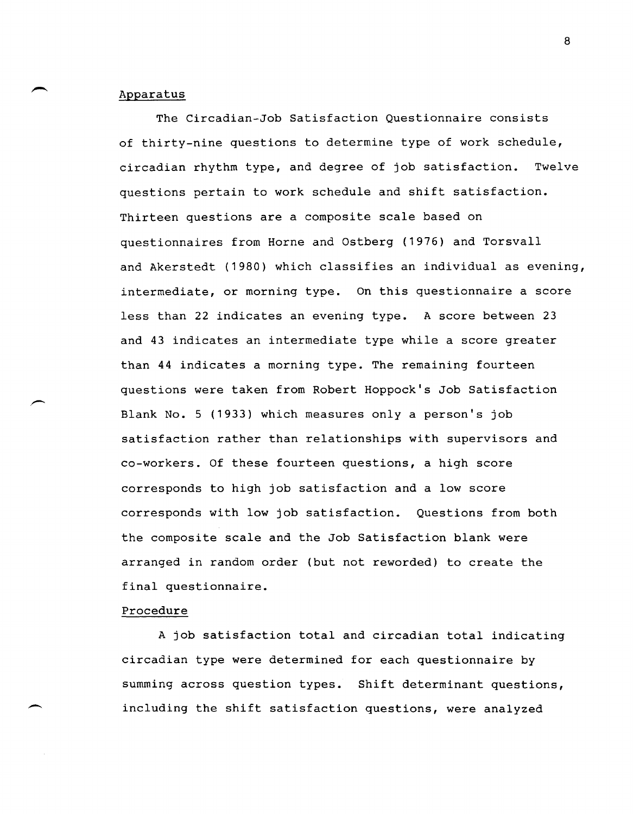### Apparatus

The Circadian-Job Satisfaction Questionnaire consists of thirty-nine questions to determine type of work schedule, circadian rhythm type, and degree of job satisfaction. Twelve questions pertain to work schedule and shift satisfaction. Thirteen questions are a composite scale based on questionnaires from Horne and Ostberg (1976) and Torsvall and Akerstedt (1980) which classifies an individual as evening, intermediate, or morning type. On this questionnaire a score less than 22 indicates an evening type. A score between 23 and 43 indicates an intermediate type while a score greater than 44 indicates a morning type. The remaining fourteen questions were taken from Robert Hoppock's Job Satisfaction Blank No.5 (1933) which measures only a person's job satisfaction rather than relationships with supervisors and co-workers. Of these fourteen questions, a high score corresponds to high job satisfaction and a low score corresponds with low job satisfaction. Questions from both the composite scale and the Job Satisfaction blank were arranged in random order (but not reworded) to create the final questionnaire.

## Procedure

A job satisfaction total and circadian total indicating circadian type were determined for each questionnaire by summing across question types. Shift determinant questions, including the shift satisfaction questions, were analyzed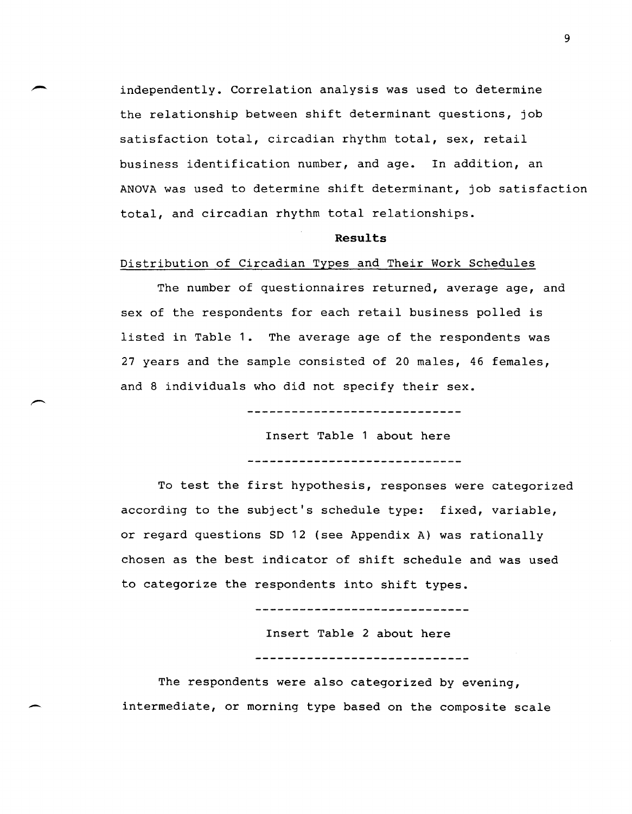independently. Correlation analysis was used to determine the relationship between shift determinant questions, job satisfaction total, circadian rhythm total, sex, retail business identification number, and age. In addition, an ANOVA was used to determine shift determinant, job satisfaction total, and circadian rhythm total relationships.

#### **Results**

#### Distribution of Circadian Types and Their Work Schedules

The number of questionnaires returned, average age, and sex of the respondents for each retail business polled is listed in Table 1. The average age of the respondents was 27 years and the sample consisted of 20 males, 46 females, and 8 individuals who did not specify their sex.

------------------------------

Insert Table 1 about here

------------------------------

To test the first hypothesis, responses were categorized according to the subject's schedule type: fixed, variable, or regard questions SD 12 (see Appendix A) was rationally chosen as the best indicator of shift schedule and was used to categorize the respondents into shift types.

Insert Table 2 about here ------------------------------

The respondents were also categorized by evening, intermediate, or morning type based on the composite scale

-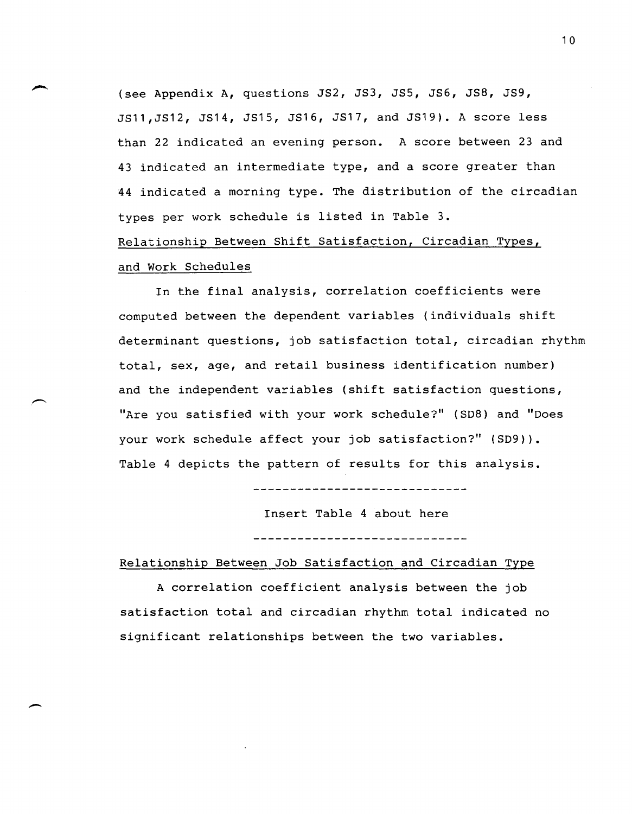(see Appendix A, questions JS2, JS3, JS5, JS6, JS8, JS9, JS11,JS12, JS14, JS15, JS16, JS17, and JS19). A score less than 22 indicated an evening person. A score between 23 and 43 indicated an intermediate type, and a score greater than 44 indicated a morning type. The distribution of the circadian types per work schedule is listed in Table 3. Relationship Between Shift Satisfaction, Circadian Types, and Work Schedules

In the final analysis, correlation coefficients were computed between the dependent variables (individuals shift determinant questions, job satisfaction total, circadian rhythm total, sex, age, and retail business identification number) and the independent variables (shift satisfaction questions, "Are you satisfied with your work schedule?" (SD8) and "Does your work schedule affect your job satisfaction?" (SD9)). Table 4 depicts the pattern of results for this analysis.

Insert Table 4 about here

### Relationship Between Job Satisfaction and Circadian Type

A correlation coefficient analysis between the job satisfaction total and circadian rhythm total indicated no significant relationships between the two variables.

-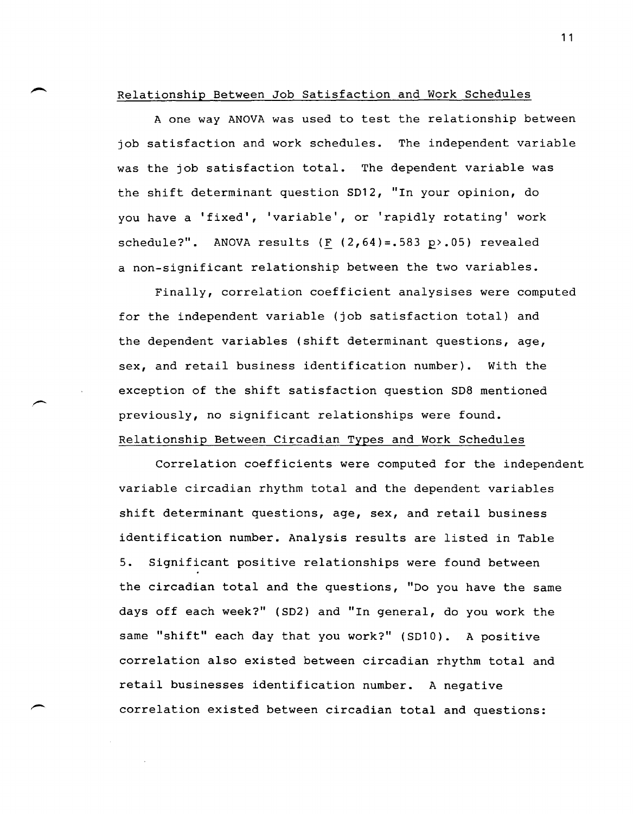Relationship Between Job Satisfaction and Work Schedules

A one way ANOVA was used to test the relationship between job satisfaction and work schedules. The independent variable was the job satisfaction total. The dependent variable was the shift determinant question S012, "In your opinion, do you have a 'fixed', 'variable', or 'rapidly rotating' work schedule?". ANOVA results (F  $(2,64)$ =.583 p>.05) revealed a non-significant relationship between the two variables.

Finally, correlation coefficient analysises were computed for the independent variable (job satisfaction total) and the dependent variables (shift determinant questions, age, sex, and retail business identification number). With the exception of the shift satisfaction question S08 mentioned previously, no significant relationships were found. Relationship Between Circadian Types and Work Schedules

Correlation coefficients were computed for the independent variable circadian rhythm total and the dependent variables shift determinant questions, age, sex, and retail business identification number. Analysis results are listed in Table 5. Significant positive relationships were found between the circadian total and the questions, "00 you have the same days off each week?" (S02) and "In general, do you work the same "shift" each day that you work?" (SD10). A positive correlation also existed between circadian rhythm total and retail businesses identification number. A negative correlation existed between circadian total and questions: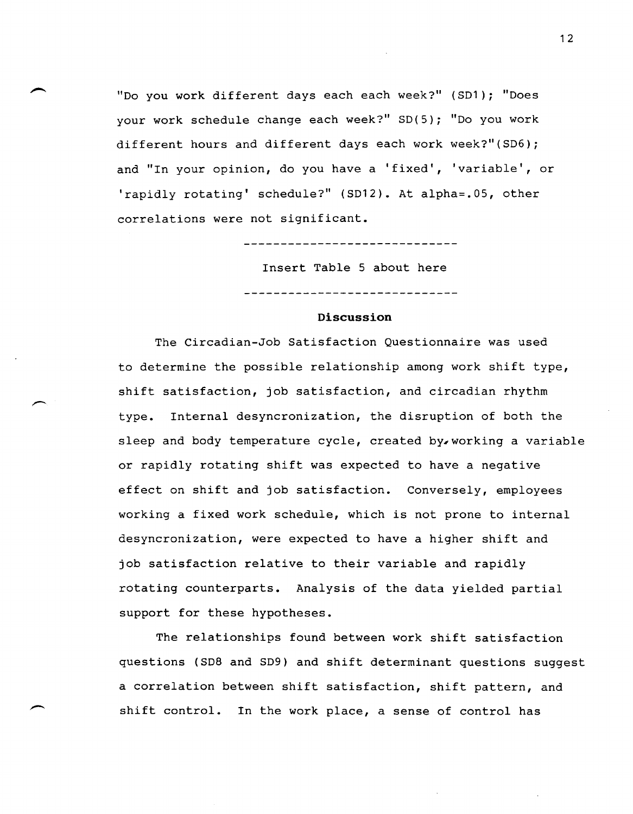"Do you work different days each each week?" (S01); "Does your work schedule change each week?" SO(5); "Do you work different hours and different days each work week?"(S06); and "In your opinion, do you have a 'fixed', 'variable', or 'rapidly rotating' schedule?" (S012). At alpha=.05, other correlations were not significant.

------------------------

Insert Table 5 about here

### **Discussion**

The Circadian-Job Satisfaction Questionnaire was used to determine the possible relationship among work shift type, shift satisfaction, job satisfaction, and circadian rhythm type. Internal desyncronization, the disruption of both the sleep and body temperature cycle, created by. working a variable or rapidly rotating shift was expected to have a negative effect on shift and job satisfaction. Conversely, employees working a fixed work schedule, which is not prone to internal desyncronization, were expected to have a higher shift and job satisfaction relative to their variable and rapidly rotating counterparts. Analysis of the data yielded partial support for these hypotheses.

The relationships found between work shift satisfaction questions (S08 and S09) and shift determinant questions suggest a correlation between shift satisfaction, shift pattern, and shift control. In the work place, a sense of control has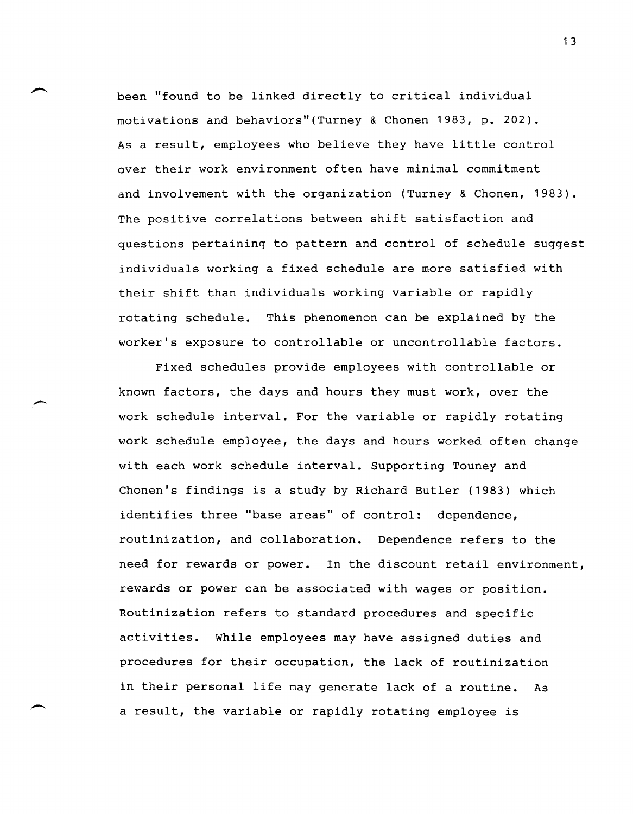been "found to be linked directly to critical individual motivations and behaviors"(Turney & Chonen 1983, p. 202). As a result, employees who believe they have little control over their work environment often have minimal commitment and involvement with the organization (Turney & Chonen, 1983). The positive correlations between shift satisfaction and questions pertaining to pattern and control of schedule suggest individuals working a fixed schedule are more satisfied with their shift than individuals working variable or rapidly rotating schedule. This phenomenon can be explained by the worker's exposure to controllable or uncontrollable factors.

Fixed schedules provide employees with controllable or known factors, the days and hours they must work, over the work schedule interval. For the variable or rapidly rotating work schedule employee, the days and hours worked often change with each work schedule interval. Supporting Touney and Chonen's findings is a study by Richard Butler (1983) which identifies three "base areas" of control: dependence, routinization, and collaboration. Dependence refers to the need for rewards or power. In the discount retail environment, rewards or power can be associated with wages or position. Routinization refers to standard procedures and specific activities. While employees may have assigned duties and procedures for their occupation, the lack of routinization in their personal life may generate lack of a routine. As a result, the variable or rapidly rotating employee is

.-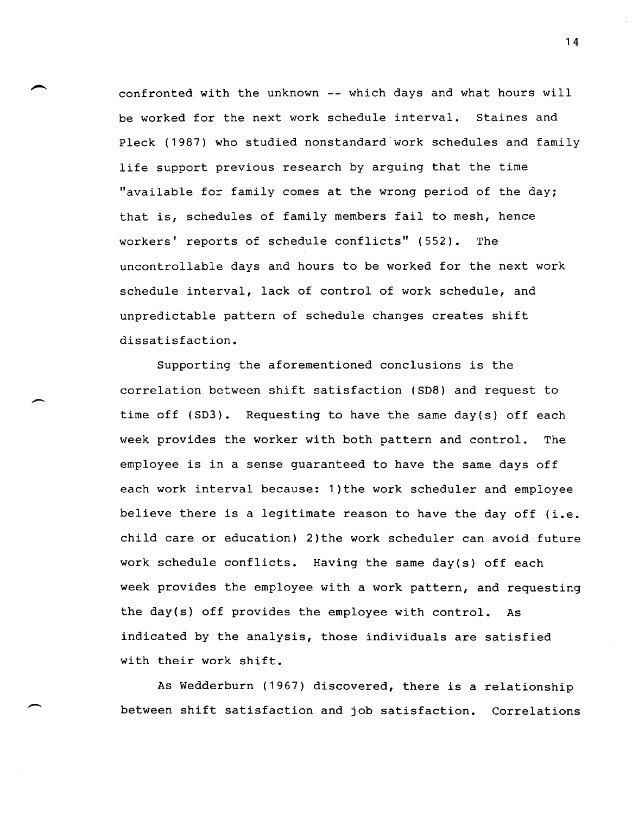confronted with the unknown -- which days and what hours will be worked for the next work schedule interval. Staines and Pleck (1987) who studied nonstandard work schedules and family life support previous research by arguing that the time "available for family comes at the wrong period of the day; that is, schedules of family members fail to mesh, hence workers' reports of schedule conflicts" (552). The uncontrollable days and hours to be worked for the next work schedule interval, lack of control of work schedule, and unpredictable pattern of schedule changes creates shift dissatisfaction.

Supporting the aforementioned conclusions is the correlation between shift satisfaction (SD8) and request to time off (SD3). Requesting to have the same day(s) off each week provides the worker with both pattern and control. The employee is in a sense guaranteed to have the same days off each work interval because: 1)the work scheduler and employee believe there is a legitimate reason to have the day off (i.e. child care or education) 2)the work scheduler can avoid future work schedule conflicts. Having the same day(s) off each week provides the employee with a work pattern, and requesting the day(s) off provides the employee with control. As indicated by the analysis, those individuals are satisfied with their work shift.

 $\overline{\phantom{a}}$ 

As Wedderburn (1967) discovered, there is a relationship between shift satisfaction and job satisfaction. Correlations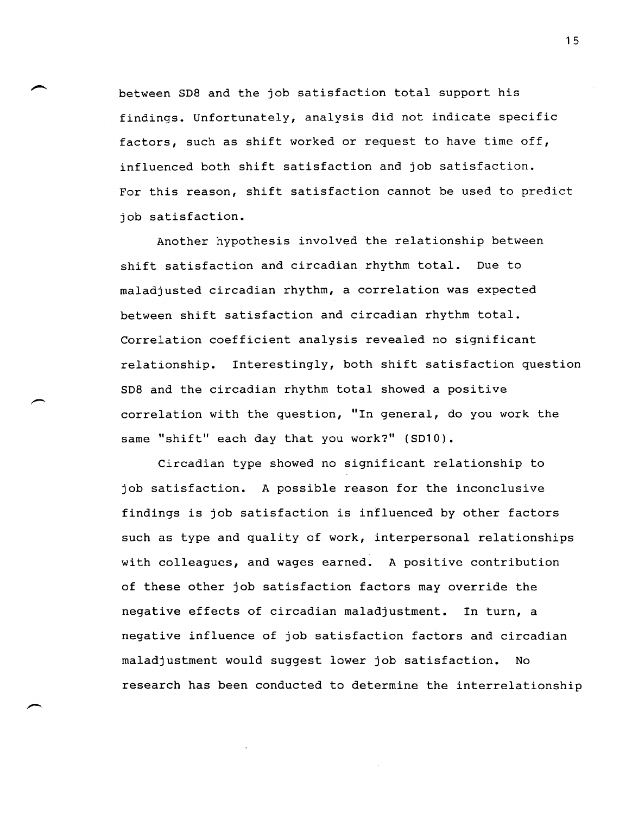between SD8 and the job satisfaction total support his findings. Unfortunately, analysis did not indicate specific factors, such as shift worked or request to have time off, influenced both shift satisfaction and job satisfaction. For this reason, shift satisfaction cannot be used to predict job satisfaction.

Another hypothesis involved the relationship between shift satisfaction and circadian rhythm total. Due to maladjusted circadian rhythm, a correlation was expected between shift satisfaction and circadian rhythm total. Correlation coefficient analysis revealed no significant relationship. Interestingly, both shift satisfaction question SD8 and the circadian rhythm total showed a positive correlation with the question, "In general, do you work the same "shift" each day that you work?" (SD10).

Circadian type showed no significant relationship to job satisfaction. A possible reason for the inconclusive findings is job satisfaction is influenced by other factors such as type and quality of work, interpersonal relationships with colleagues, and wages earned. A positive contribution of these other job satisfaction factors may override the negative effects of circadian maladjustment. In turn, a negative influence of job satisfaction factors and circadian maladjustment would suggest lower job satisfaction. No research has been conducted to determine the interrelationship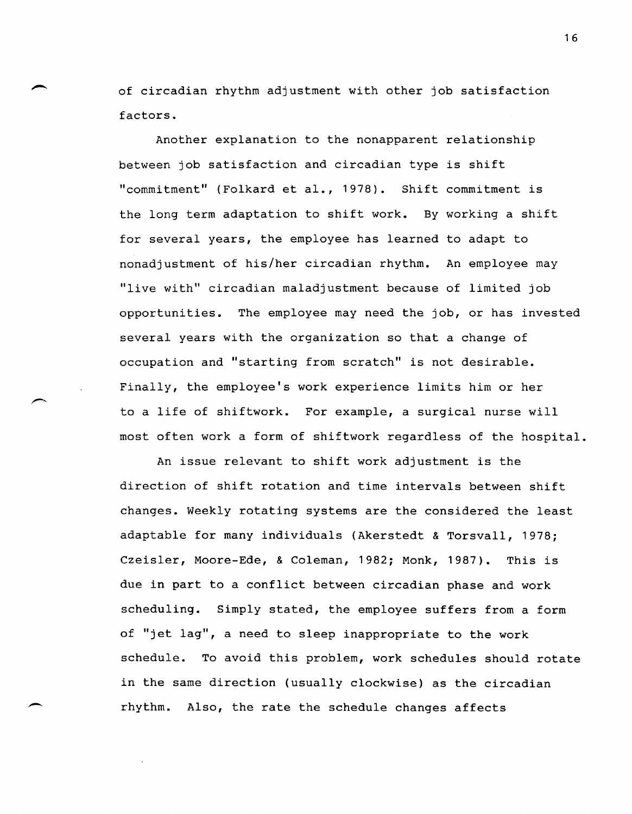of circadian rhythm adjustment with other job satisfaction factors.

Another explanation to the nonapparent relationship between job satisfaction and circadian type is shift "commitment" (Folkard et al., 1978). Shift commitment is the long term adaptation to shift work. By working a shift for several years, the employee has learned to adapt to nonadjustment of his/her circadian rhythm. An employee may "live with" circadian maladjustment because of limited job opportunities. The employee may need the job, or has invested several years with the organization so that a change of occupation and "starting from scratch" is not desirable. Finally, the employee's work experience limits him or her to a life of shiftwork. For example, a surgical nurse will most often work a form of shiftwork regardless of the hospital.

An issue relevant to shift work adjustment is the direction of shift rotation and time intervals between shift changes. Weekly rotating systems are the considered the least adaptable for many individuals (Akerstedt & Torsvall, 1978; Czeisler, Moore-Ede, & Coleman, 1982; Monk, 1987). This is due in part to a conflict between circadian phase and work scheduling. Simply stated, the employee suffers from a form of "jet lag", a need to sleep inappropriate to the work schedule. To avoid this problem, work schedules should rotate in the same direction (usually clockwise) as the circadian rhythm. Also, the rate the schedule changes affects

 $\overline{\phantom{a}}$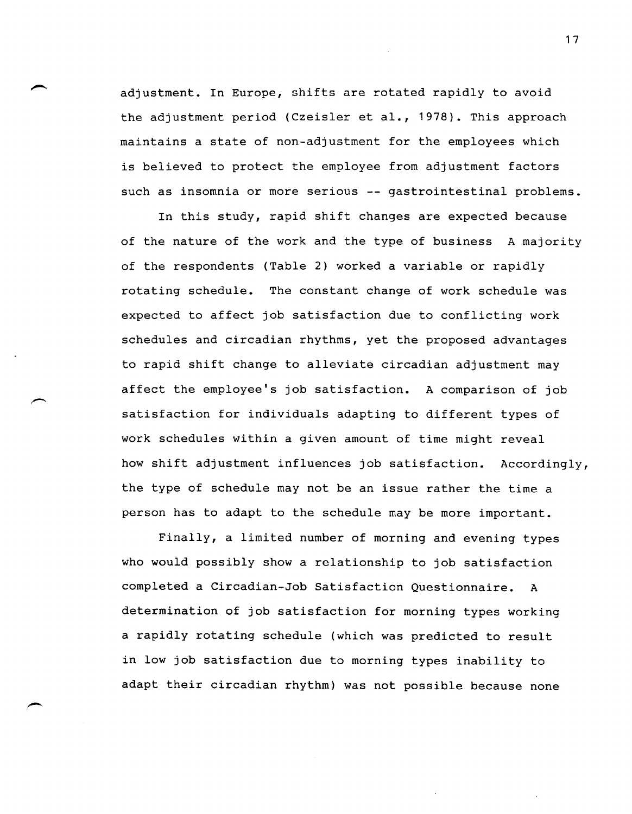adjustment. In Europe, shifts are rotated rapidly to avoid the adjustment period (Czeisler et al., 1978). This approach maintains a state of non-adjustment for the employees which is believed to protect the employee from adjustment factors such as insomnia or more serious -- gastrointestinal problems.

In this study, rapid shift changes are expected because of the nature of the work and the type of business A majority of the respondents (Table 2) worked a variable or rapidly rotating schedule. The constant change of work schedule was expected to affect job satisfaction due to conflicting work schedules and circadian rhythms, yet the proposed advantages to rapid shift change to alleviate circadian adjustment may affect the employee's job satisfaction. A comparison of job satisfaction for individuals adapting to different types of work schedules within a given amount of time might reveal how shift adjustment influences job satisfaction. Accordingly, the type of schedule may not be an issue rather the time a person has to adapt to the schedule may be more important.

Finally, a limited number of morning and evening types who would possibly show a relationship to job satisfaction completed a Circadian-Job Satisfaction Questionnaire. A determination of job satisfaction for morning types working a rapidly rotating schedule (which was predicted to result in low job satisfaction due to morning types inability to adapt their circadian rhythm) was not possible because none

-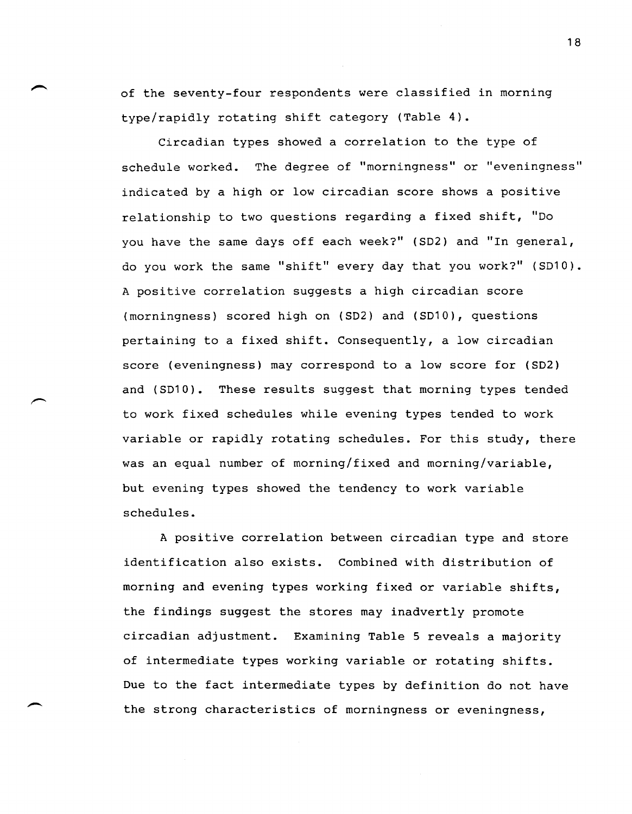of the seventy-four respondents were classified in morning type/rapidly rotating shift category (Table 4).

Circadian types showed a correlation to the type of schedule worked. The degree of "morningness" or "eveningness" indicated by a high or low circadian score shows a positive relationship to two questions regarding a fixed shift, "Do you have the same days off each week?" (SD2) and "In general, do you work the same "shift" every day that you work?" (SD10). A positive correlation suggests a high circadian score (morningness) scored high on (SD2) and (SD10), questions pertaining to a fixed shift. Consequently, a low circadian score (eveningness) may correspond to a low score for (SD2) and (SD10). These results suggest that morning types tended to work fixed schedules while evening types tended to work variable or rapidly rotating schedules. For this study, there was an equal number of morning/fixed and morning/variable, but evening types showed the tendency to work variable schedules.

A positive correlation between circadian type and store identification also exists. Combined with distribution of morning and evening types working fixed or variable shifts, the findings suggest the stores may inadvertly promote circadian adjustment. Examining Table 5 reveals a majority of intermediate types working variable or rotating shifts. Due to the fact intermediate types by definition do not have the strong characteristics of morningness or eveningness,

--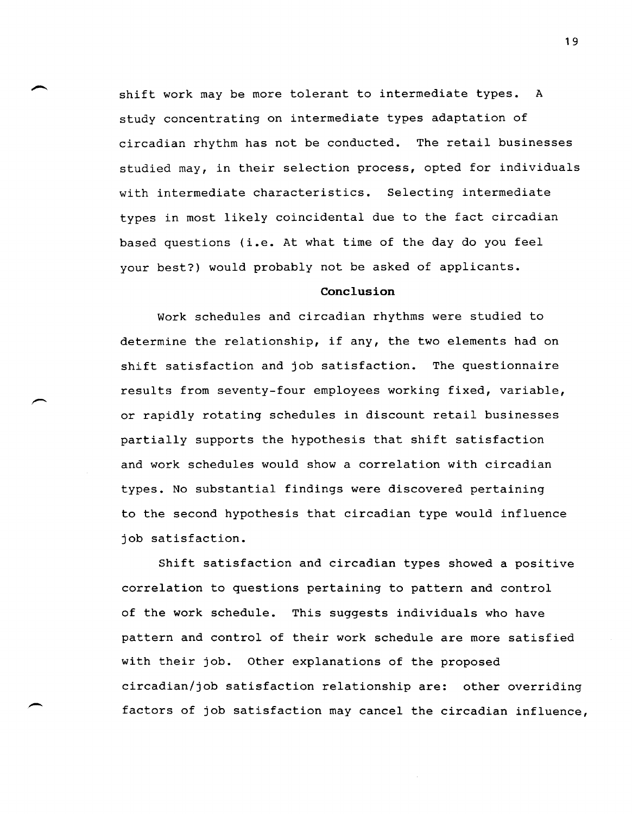shift work may be more tolerant to intermediate types. A study concentrating on intermediate types adaptation of circadian rhythm has not be conducted. The retail businesses studied may, in their selection process, opted for individuals with intermediate characteristics. Selecting intermediate types in most likely coincidental due to the fact circadian based questions (i.e. At what time of the day do you feel your best?) would probably not be asked of applicants.

## **Conclusion**

Work schedules and circadian rhythms were studied to determine the relationship, if any, the two elements had on shift satisfaction and job satisfaction. The questionnaire results from seventy-four employees working fixed, variable, or rapidly rotating schedules in discount retail businesses partially supports the hypothesis that shift satisfaction and work schedules would show a correlation with circadian types. No substantial findings were discovered pertaining to the second hypothesis that circadian type would influence job satisfaction.

Shift satisfaction and circadian types showed a positive correlation to questions pertaining to pattern and control of the work schedule. This suggests individuals who have pattern and control of their work schedule are more satisfied with their job. other explanations of the proposed circadian/job satisfaction relationship are: other overriding factors of job satisfaction may cancel the circadian influence,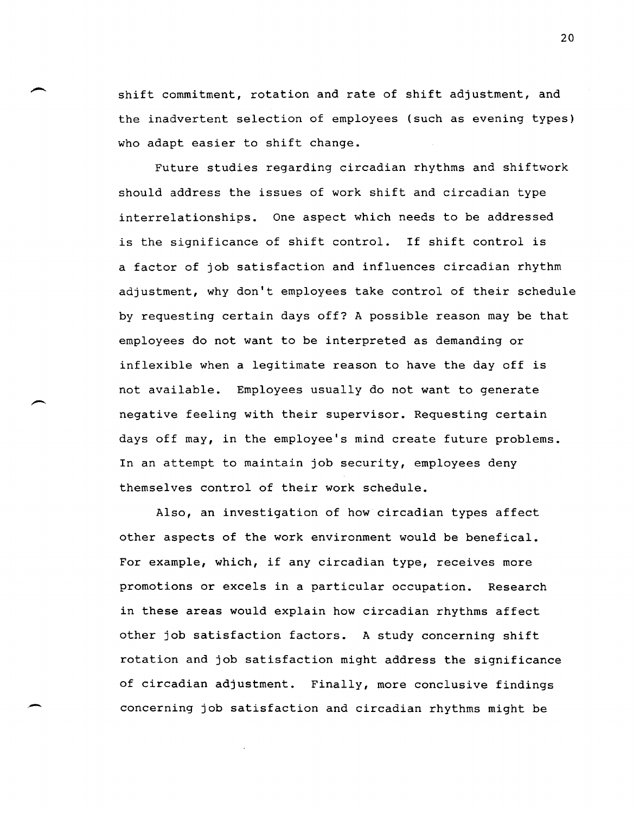shift commitment, rotation and rate of shift adjustment, and the inadvertent selection of employees (such as evening types) who adapt easier to shift change.

Future studies regarding circadian rhythms and shiftwork should address the issues of work shift and circadian type interrelationships. One aspect which needs to be addressed is the significance of shift control. If shift control is a factor of job satisfaction and influences circadian rhythm adjustment, why don't employees take control of their schedule by requesting certain days off? A possible reason may be that employees do not want to be interpreted as demanding or inflexible when a legitimate reason to have the day off is not available. Employees usually do not want to generate negative feeling with their supervisor. Requesting certain days off may, in the employee's mind create future problems. In an attempt to maintain job security, employees deny themselves control of their work schedule.

Also, an investigation of how circadian types affect other aspects of the work environment would be benefical. For example, which, if any circadian type, receives more promotions or excels in a particular occupation. Research in these areas would explain how circadian rhythms affect other job satisfaction factors. A study concerning shift rotation and job satisfaction might address the significance of circadian adjustment. Finally, more conclusive findings concerning job satisfaction and circadian rhythms might be

,-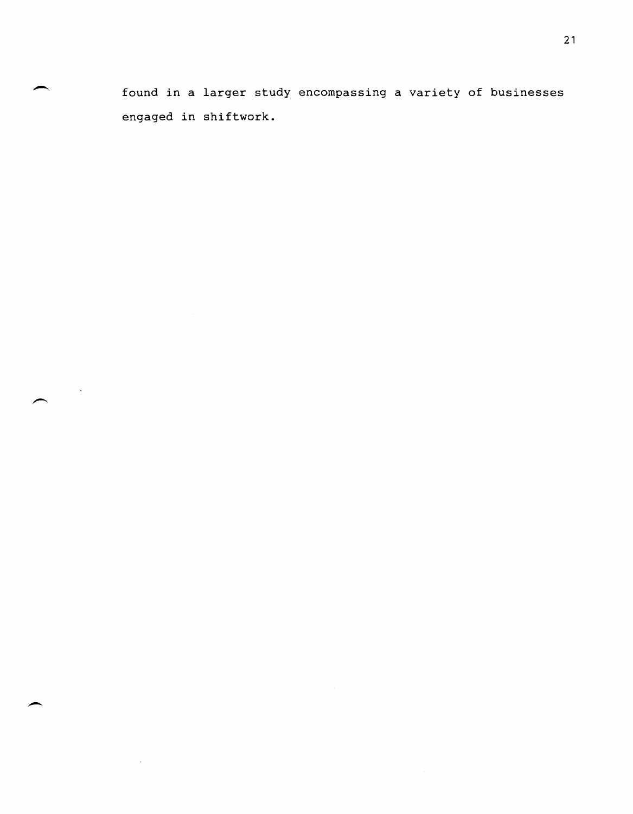found in a larger study encompassing a variety of businesses engaged in shiftwork.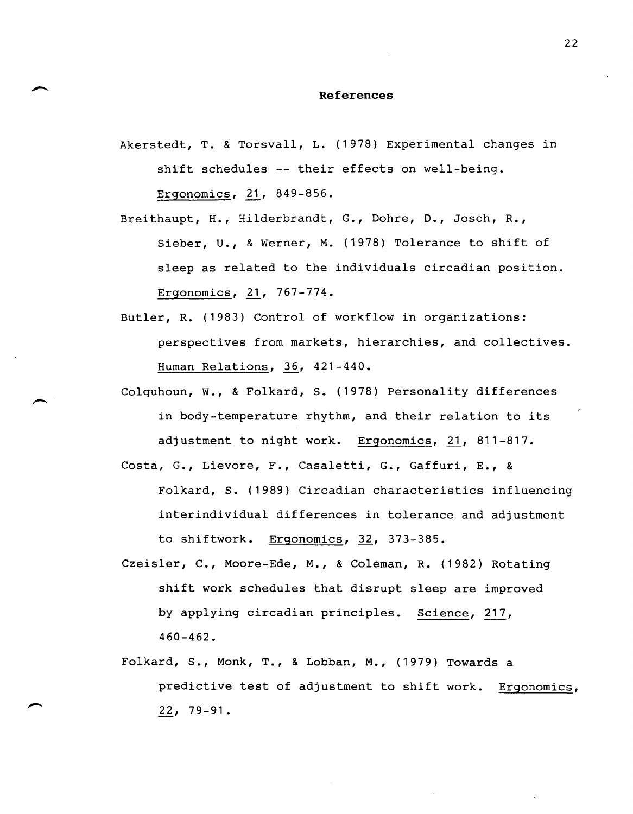### **References**

Akerstedt, T. & Torsvall, L. (1978) Experimental changes in shift schedules -- their effects on well-being. Ergonomics, 21, 849-856.

Breithaupt, H., Hilderbrandt, G., Dohre, D., Josch, R., Sieber, U., & Werner, M. (1978) Tolerance to shift of sleep as related to the individuals circadian position. Ergonomics, 21, 767-774.

- Butler, R. (1983) Control of workflow in organizations: perspectives from markets, hierarchies, and collectives. Human Relations,  $36$ ,  $421-440$ .
- Colquhoun, W., & Folkard, S. (1978) Personality differences in body-temperature rhythm, and their relation to its adjustment to night work. Ergonomics, 21, 811-817.
- Costa, G., Lievore, F., Casaletti, G., Gaffuri, E., & Folkard, S. (1989) Circadian characteristics influencing interindividual differences in tolerance and adjustment to shiftwork. Ergonomics, 32, 373-385.
- Czeisler, C., Moore-Ede, M., & Coleman, R. (1982) Rotating shift work schedules that disrupt sleep are improved by applying circadian principles. Science, 217, 460-462.
- Folkard, S., Monk, T., & Lobban, M., (1979) Towards a predictive test of adjustment to shift work. Ergonomics,  $22, 79-91.$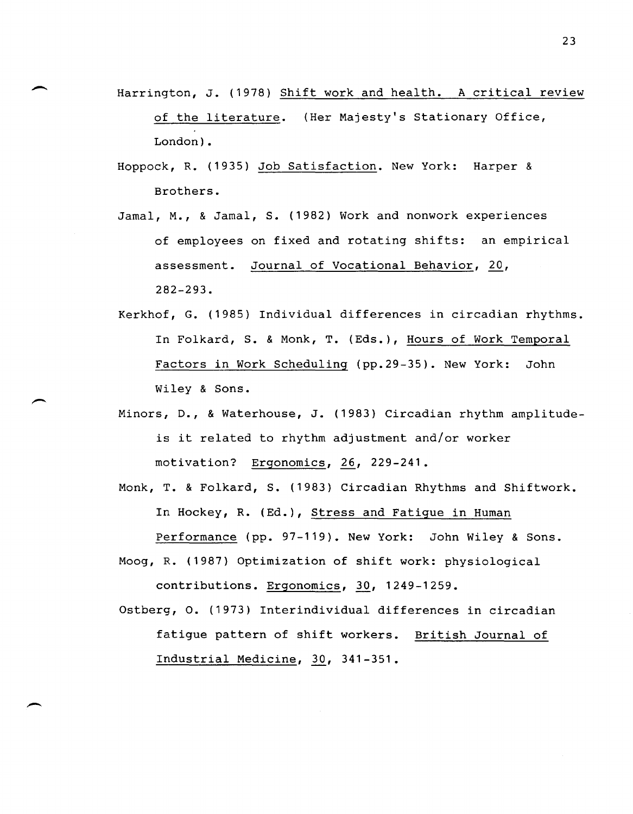- Harrington, J. (1978) Shift work and health. A critical review of the literature. (Her Majesty's Stationary Office, London).
- Hoppock, R. (1935) Job Satisfaction. New York: Harper & Brothers.
- Jamal, M., & Jamal, S. (1982) Work and nonwork experiences of employees on fixed and rotating shifts: an empirical assessment. Journal of Vocational Behavior, 20, 282-293.
- Kerkhof, G. (1985) Individual differences in circadian rhythms. In Folkard, S. & Monk, T. (Eds.), Hours of Work Temporal Factors in Work Scheduling (pp.29-35). New York: John Wiley & Sons.
- Minors, D., & Waterhouse, J. (1983) Circadian rhythm amplitudeis it related to rhythm adjustment and/or worker motivation? Ergonomics, 26, 229-241.
- Monk, T. & Folkard, S. (1983) Circadian Rhythms and Shiftwork. In Hockey, R. (Ed.), Stress and Fatigue in Human Performance (pp. 97-119). New York: John Wiley & Sons.
- Moog, R. (1987) Optimization of shift work: physiological contributions. Ergonomics, 30, 1249-1259.
- Ostberg, o. (1973) Interindividual differences in circadian fatigue pattern of shift workers. British Journal of Industrial Medicine, 30, 341-351.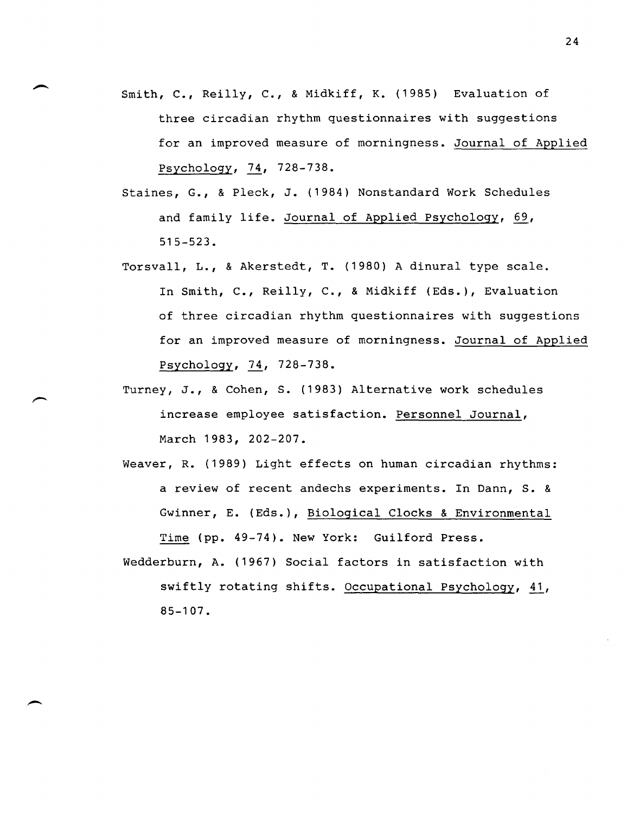- Smith, C., Reilly, C., & Midkiff, K. (1985) Evaluation of three circadian rhythm questionnaires with suggestions for an improved measure of morningness. Journal of Applied Psychology, 74, 728-738.
- Staines, G., & Pleck, J. (1984) Nonstandard Work Schedules and family life. Journal of Applied Psychology,  $69$ , 515-523.
- Torsvall, L., & Akerstedt, T. (1980) A dinural type scale. In Smith, C., Reilly, C., & Midkiff (Eds.), Evaluation of three circadian rhythm questionnaires with suggestions for an improved measure of morningness. Journal of Applied Psychology, 74, 728-738.
- Turney, J., & Cohen, S. (1983) Alternative work schedules increase employee satisfaction. Personnel Journal, March 1983, 202-207.
- Weaver, R. (1989) Light effects on human circadian rhythms: a review of recent andechs experiments. In Dann, S. & Gwinner, E. (Eds.), Biological Clocks & Environmental Time (pp. 49-74). New York: Guilford Press.
- Wedderburn, A. (1967) Social factors in satisfaction with swiftly rotating shifts. Occupational Psychology, 41, 85-107.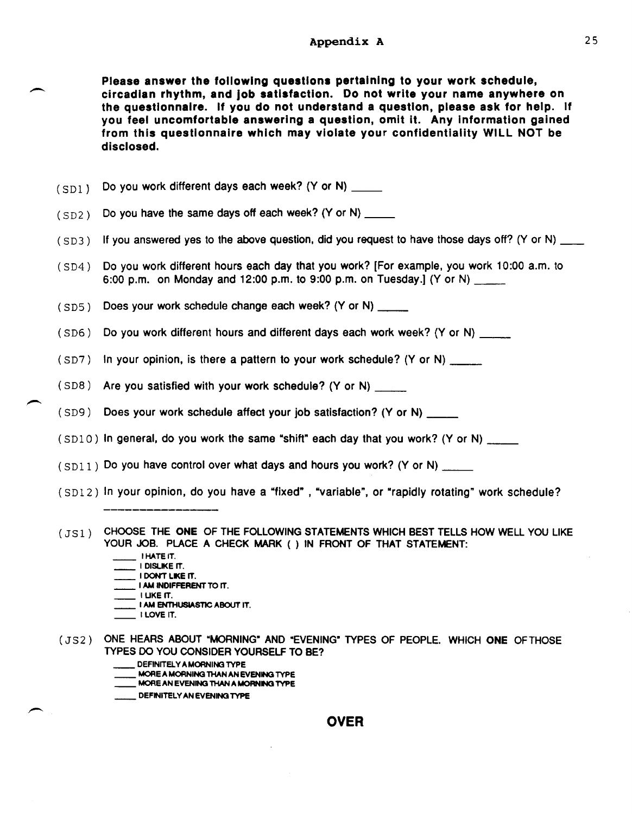Please answer the following questions pertaining to your work schedule, circadian rhythm, and Job satisfaction. Do not write your name anywhere on the questionnaire. If you do not understand a question, please ask for help. If you feel uncomfortable answering a question, omit it. Any Information gained from this questionnaire which may violate your confidentiality WILL NOT be disclosed.

(SDl) Do you work different days each week? (Y or N) \_\_\_\_\_

- (SD2) Do you have the same days off each week? (Y or N) \_\_\_\_\_
- $(SD3)$  If you answered yes to the above question, did you request to have those days off? (Y or N)  $\rule{1em}{0.15mm}$
- (SD4) Do you work different hours each day that you work? [For example, you work 10:00 a.m. to 6:00 p.m. on Monday and 12:00 p.m. to 9:00 p.m. on Tuesday.] (Y or N) \_\_

(SD5) Does your work schedule change each week? (Y or N) \_\_\_\_\_

(SD6) Do you work different hours and different days each work week? (Y or N) \_\_\_\_\_

(SD7) In your opinion, is there a pattern to your work schedule? (Y or N) \_\_\_\_\_\_

(SD8) Are you satisfied with your work schedule? (Y or N) \_\_

(SD9) Does your work schedule affect your job satisfaction? (Y or N) \_\_

 $(SD10)$  in general, do you work the same "shift" each day that you work? (Y or N)  $\frac{1}{1-\frac{1}{2}}$ 

 $(SD11)$  Do you have control over what days and hours you work? (Y or N)

(SD12) In your opinion, do you have a "fixed" , "variable", or "rapidly rotating" work schedule?

(JS1) CHOOSE THE ONE OF THE FOLLOWING STATEMENTS WHICH BEST TELLS HOW WELL YOU LIKE YOUR JOB. PLACE A CHECK MARK ( ) IN FRONT OF THAT STATEMENT:

 $\_$  I HATE IT.

 $\overline{\phantom{0}}$ 

-

- L I DISLIKE IT. I DON'T LIKE IT.
- \_ I AM INDIFFERENT TO IT.<br>\_\_I LIKE IT.
- 
- $\overline{\phantom{a}}$  i am enthusiastic about it.
- $\_$  I LOVE IT.
- (JS2) ONE HEARS ABOUT "MORNING" AND "EVENING" TYPES OF PEOPLE. WHICH ONE OF THOSE TYPES 00 YOU CONSIDER YOURSELF TO BE?
	- DEFINITELY A MORNING TYPE
	- \_\_ MOREA MORNING THAN AN EVENING TYPE
	- \_\_ MORE AN EVENING THAN A MORNING TYPE
	- \_\_ DEFINITELY AN EVENING TYPE

## OVER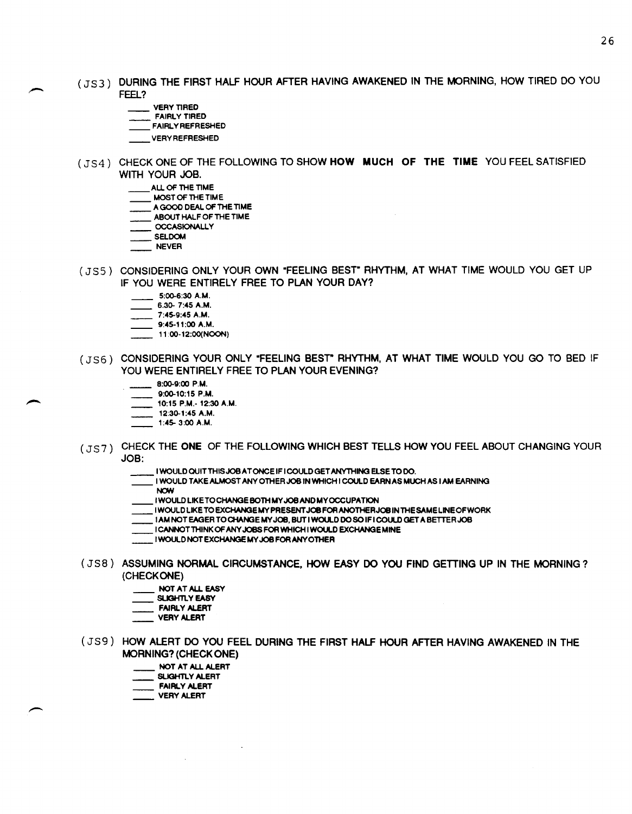- (JS3) DURING THE FIRST HALF HOUR AFTER HAVING AWAKENED IN THE MORNING, HOW TIRED DO YOU FEEL?
	- VERY TIRED
	- FAIRLY TIRED
	- FAIRLY REFRESHED
	- VERY REFRESHED
- (JS4) CHECK ONE OF THE FOLLOWING TO SHOW HOW MUCH OF THE TIME YOU FEEL SATISFIED WITH YOUR JOB.
	- ALL OF THE TIME
	- MOST OF THE TIME
	- $-$  A GOOD DEAL OF THE TIME
	- ABOUT HALF OF THE TIME
	- **OCCASIONALLY**
	- SELDOM  $\equiv$  NEVER
	-
- (JS5) CONSIDERING ONLY YOUR OWN "FEELING BEST" RHYTHM, AT WHAT TIME WOULD YOU GET UP IF YOU WERE ENTIRELY FREE TO PLAN YOUR DAY?
	- 5:00-6:30 A.M.
	- $-$  6.30- 7:45 A.M.
	- 7:45-9:45 A.M.  $9:45-11:00$  A.M.
	- $-$  11:00-12:00(NOON)
- (JS6) CONSIDERING YOUR ONLY "FEELING BEST" RHYTHM, AT WHAT TIME WOULD YOU GO TO BED IF YOU WERE ENTIRELY FREE TO PLAN YOUR EVENING?
	- $8:00-9:00$  P.M.
	- $= 9:00-10:15$  P.M.
	- 10:15 P.M.- 12:30 A.M.
	- $12:30-1:45$  A.M.
	- $-1:45-3:00$  A.M.
- (JS7) CHECK THE ONE OF THE FOLLOWING WHICH BEST TELLS HOW YOU FEEL ABOUT CHANGING YOUR JOB:
	- I WOULD OUITTHISJOBATONCE IF I COULD GET ANYTHING ELSE TO DO.
	- I WOULD TAKE ALMOST ANY OTHER JOB IN WHICH I COULD EARN AS MUCH AS I AM EARNING.<br>NOW
	-
	- I WOULD LIKE TO CHANGE BOTH MY JOB AND MY OCCUPATION
	- I WOULD LIKE TO EXCHANGE MY PRESENT JOB FOR ANOTHERJOB IN THE SAMELINEOFWORK
	- LIAM NOT EAGER TO CHANGE MY JOB, BUT I WOULD DO SO IF I COULD GET A BETTER JOB.
	- I CANNOT THINK OF ANY JOBS FOR WHICH I WOULD EXCHANGE MINE
	- I WOULD NOT EXCHANGE MY JOB FORANYOTHER

 $\sim$ 

- (JS8) ASSUMING NORMAL CIRCUMSTANCE, HOW EASY DO YOU FIND GETTING UP IN THE MORNING? (CHECK ONE)
	- NOT AT ALL EASY
	- SLIGHTLY EASY
	- FAIRLY ALERT
	- VERY ALERT
- (JS9) HOW ALERT DO YOU FEEL DURING THE FIRST HALF HOUR AFTER HAVING AWAKENED IN THE MORNING? (CHECK ONE)
	- NOT AT ALL ALERT

 $\sim$ 

- SLIGHTLY ALERT
- **FAIRLY ALERT**
- VERY ALERT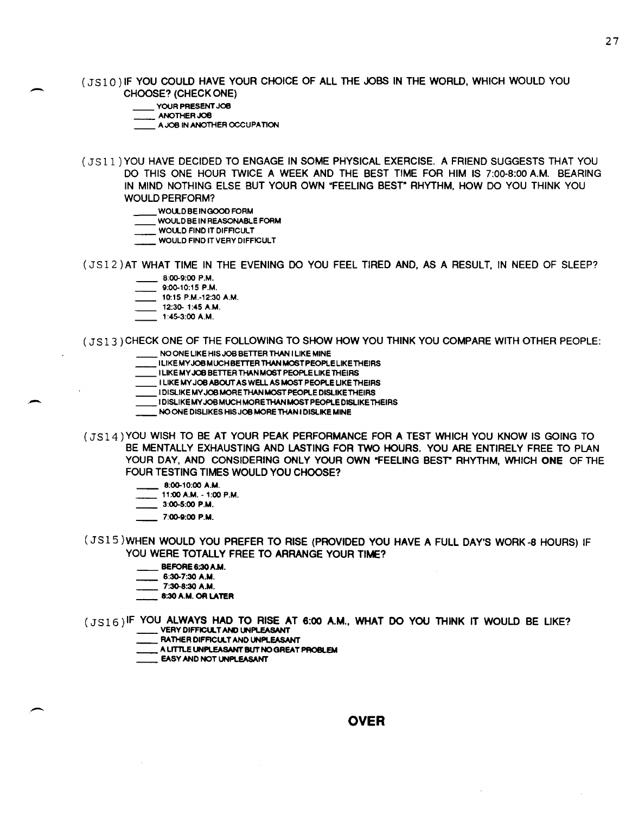(JS10) IF YOU COULD HAVE YOUR CHOICE OF ALL THE JOBS IN THE WORLD, WHICH WOULD YOU CHOOSE? (CHECK ONE)

- YOUR PRESENT JOB
- ANOTHER JOB

-

--

 $A$  JOB IN ANOTHER CCCUPATION

(J5 11) YOU HAVE DECIDED TO ENGAGE IN SOME PHYSICAL EXERCISE. A FRIEND SUGGESTS THAT YOU DO THIS ONE HOUR TWICE A WEEK AND THE BEST TIME FOR HIM IS 7:00-8:00 A.M. BEARING IN MIND NOTHING ELSE BUT YOUR OWN "FEELING BEST" RHYTHM, HOW DO YOU THINK YOU WOULD PERFORM?

- WOUlD BE IN GOOD FORM
- WOULD BE IN REASONABLE FORM
- WOULD FIND IT DIFFICULT
- WOULD FIND IT VERY DIFFICULT
- (JS12) AT WHAT TIME IN THE EVENING DO YOU FEEL TIRED AND, AS A RESULT, IN NEED OF SLEEP? 8:00-9:00 P.M.
	- 9:00-10:15 P.M.
	- 10:15 P.M.-12:30 A.M.
	- 12:30- 1:45 A.M.
	- 1 :45-3:00 A.M.
- ( JS13) CHECK ONE OF THE FOLLOWING TO SHOW HOW YOU THINK YOU COMPARE WITH OTHER PEOPLE:
	- NO ONE LIKE HIS JOB BETTER THAN I LIKE MINE
	- I LlKEMYJOB MUCH BETTER THAN MOST PEOPLE LIKE THEIRS I LIKE MY JOB BETTER THAN MOST PEOPLE LIKE THEIRS
	- \_\_ I LIKE MY JOB ASOUT AS WELL AS MOST PEOPLE UKE THEIRS
	- \_\_ I DiSliKE MY JOB MORETHAN MOST PEOPLE DISLIKE THEIRS
	- I DiSliKE MY JOB MUCH MORE THAN MOST PEOPLE DISLIKE THEIRS
	- \_\_ NO ONE DISLIKES HIS JOB MORE THAN I DiSliKE MINE
- (JSI4 ) YOU WISH TO BE AT YOUR PEAK PERFORMANCE FOR A TEST WHICH YOU KNOW IS GOING TO BE MENTALLY EXHAUSTING AND LASTING FOR TWO HOURS. YOU ARE ENTIRELY FREE TO PLAN YOUR DAY, AND CONSIDERING ONLY YOUR OWN "FEELING BEST" RHYTHM, WHICH ONE OF THE FOUR TESTING TIMES WOULD YOU CHOOSE?
	- 8:00-10:00 A.M.
	- 11:00 A.M. -1:00 P.M.
	- 3:00-5:00 P.M.
	- 7:00-9:00 P.M.

(J5 15 )WHEN WOULD YOU PREFER TO RISE (PROVIDED YOU HAVE A FULL DAY'S WORK -8 HOURS) IF YOU WERE TOTALLY FREE TO ARRANGE YOUR TIME?

- \_\_ BEFORE 6:30 A.M.
- $-6:30-7:30$  A.M.
- 7:30-8:30 A.M.
- \_\_ 8:30 A.M. OR LATER
- (JS16)IF YOU ALWAYS HAD TO RISE AT 6:00 A.M., WHAT DO YOU THINK IT WOULD BE LIKE?
	- RATHER DIFFICULT AND UNPLEASANT
	- A LITTLE UNPLEASANT BUT NO GREAT PROBLEM
	- \_\_ EASY AND NOT UNPLEASANT

**OVER**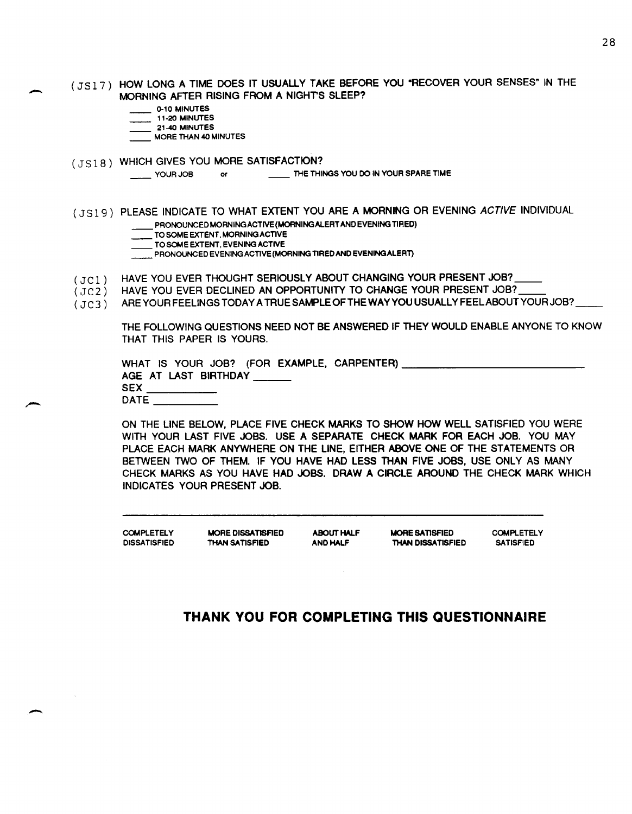(JS17) HOW LONG A TIME DOES IT USUALLY TAKE BEFORE YOU "RECOVER YOUR SENSES" IN THE MORNING AFTER RISING FROM A NIGHTS SLEEP?

0-10 MINUTES

-

-

 $\sim$   $\sim$ 

- $11-20$  MINUTES
- 21-40 MINUTES
- MORE THAN 40 MINUTES
- (JS18) WHICH GIVES YOU MORE SATISFACTION?

YOUR JOB or THE THINGS YOU DO IN YOUR SPARE TIME

- (JS19) PLEASE INDICATE TO WHAT EXTENT YOU ARE A MORNING OR EVENING ACTIVE INDIVIDUAL \_\_ PRONOUNCED MORNING ACTIVE {MORNING ALERT AND EVENING TIRED)
	- TO SOME EXTENT, MORNING ACTIVE
	-

TO SOME EXTENT, MORNING ACTIVE<br>TO SOME EXTENT, EVENING ACTIVE<br>ALLERTY PRONOUNCED EVENING ACTIVE (MORNING TIRED AND EVENING ALERT)

- $(JCI)$ HAVE YOU EVER THOUGHT SERIOUSLY ABOUT CHANGING YOUR PRESENT JOB?
- (JC2) HAVE YOU EVER DECLINED AN OPPORTUNITY TO CHANGE YOUR PRESENT JOB?
- $(JC3)$ ARE YOUR FEELINGS TODAY A TRUE SAMPLE OF THE WAY YOU USUALLY FEEL ABOUT YOUR JOB?

THE FOLLOWING QUESTIONS NEED NOT BE ANSWERED IF THEY WOULD ENABLE ANYONE TO KNOW THAT THIS PAPER IS YOURS,

|             |  |                           | WHAT IS YOUR JOB? (FOR EXAMPLE, CARPENTER) _________ |  |
|-------------|--|---------------------------|------------------------------------------------------|--|
|             |  | AGE AT LAST BIRTHDAY ____ |                                                      |  |
| <b>SEX</b>  |  |                           |                                                      |  |
| <b>DATE</b> |  |                           |                                                      |  |

ON THE LINE BELOW, PLACE FIVE CHECK MARKS TO SHOW HOW WELL SATISFIED YOU WERE WITH YOUR LAST FIVE JOBS. USE A SEPARATE CHECK MARK FOR EACH JOB. YOU MAY PLACE EACH MARK ANYWHERE ON THE LINE, EITHER ABOVE ONE OF THE STATEMENTS OR BETWEEN TWO OF THEM. IF YOU HAVE HAD LESS THAN FIVE JOBS, USE ONLY AS MANY CHECK MARKS AS YOU HAVE HAD JOBS. DRAW A CIRCLE AROUND THE CHECK MARK WHICH INDICATES YOUR PRESENT JOB.

**COMPLETELY** DISSATISFIED MORE DISSATISFIED THAN SATISFIED ABOUT HALF AND HALF MORE SATISFIED THAN DISSATISFIED **COMPLETELY** SATISFIED

## **THANK YOU FOR COMPLETING THIS QUESTIONNAIRE**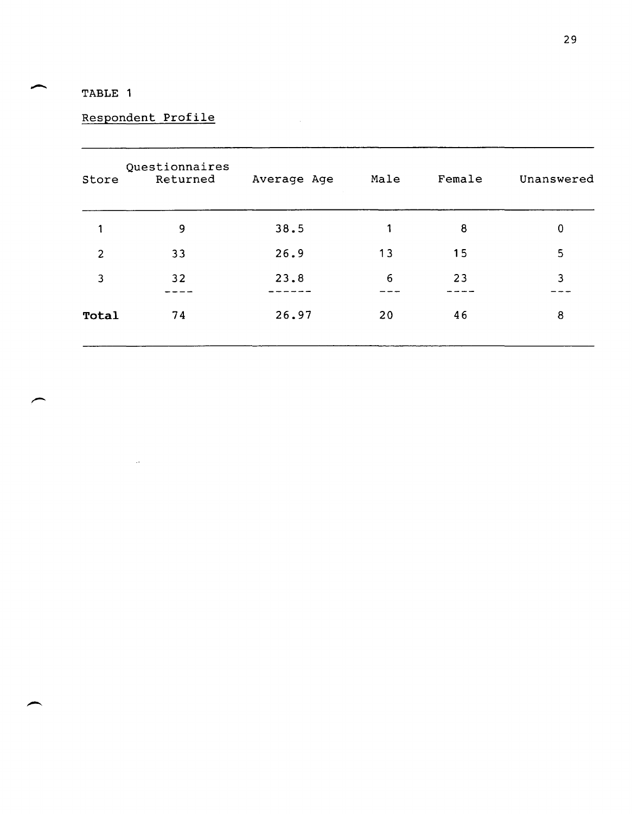# TABLE 1

# Respondent Profile

 $\langle . \rangle$ 

| Store          | Questionnaires<br>Returned | Average Age | Male | Female | Unanswered |
|----------------|----------------------------|-------------|------|--------|------------|
| 1              | 9                          | 38.5        | 1    | 8      | 0          |
| $\overline{2}$ | 33                         | 26.9        | 13   | 15     | 5          |
| 3              | 32                         | 23.8        | 6    | 23     | 3          |
| Total          | 74                         | 26.97       | 20   | 46     | 8          |

 $\mathcal{L}^{\text{max}}_{\text{max}}$  and  $\mathcal{L}^{\text{max}}_{\text{max}}$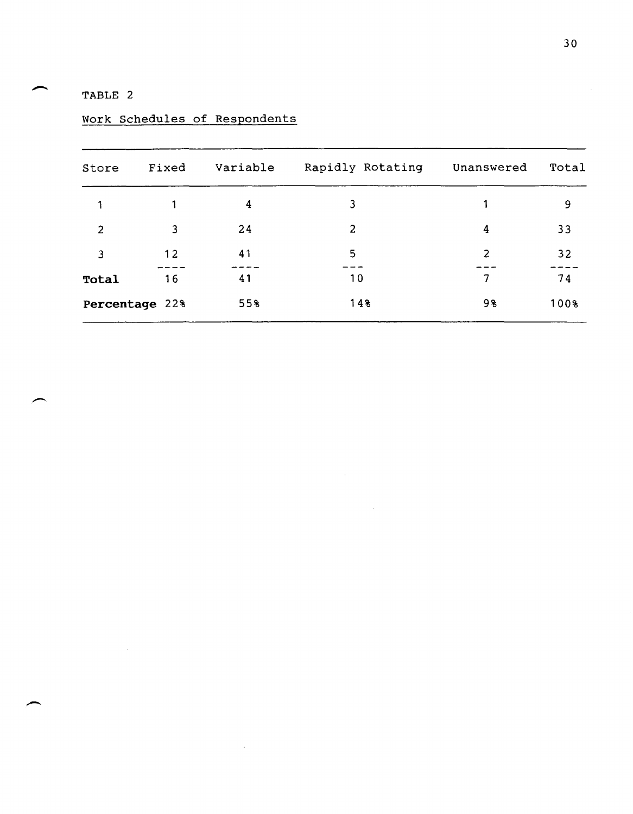TABLE 2

-

 $\overline{\phantom{a}}$ 

| Store          | Fixed | Variable | Rapidly Rotating | Unanswered | Total |
|----------------|-------|----------|------------------|------------|-------|
|                |       | 4        | 3                |            | 9     |
| 2              | 3     | 24       | 2                | 4          | 33    |
| 3              | 12    | 41       | 5                | 2          | 32    |
| Total          | 16    | 41       | 10               | 7          | 74    |
| Percentage 22% |       | 55%      | 14%              | 98         | 100%  |

 $\mathcal{A}$ 

 $\sim$ 

Work Schedules of Respondents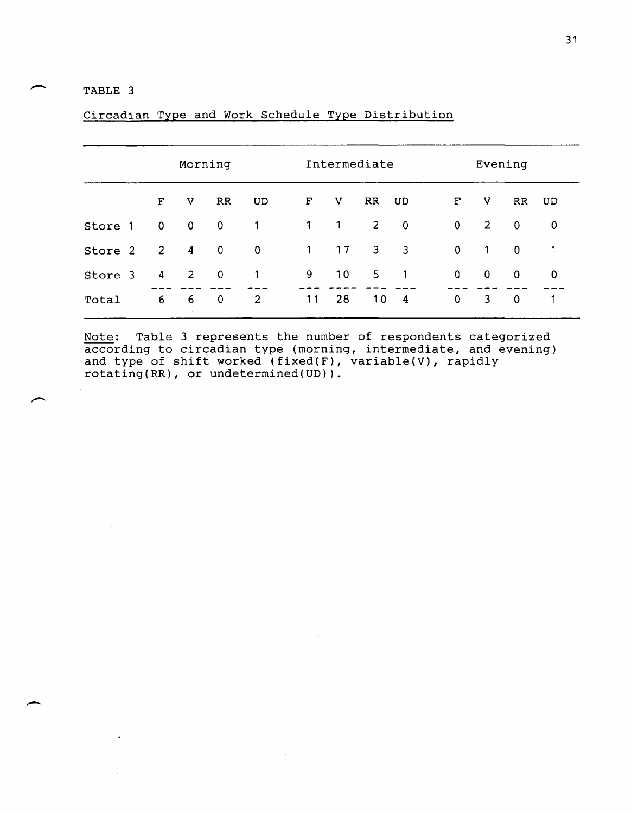## TABLE 3

|         | Morning        |                |             |                | Intermediate |              |                | Evening                    |             |             |             |             |
|---------|----------------|----------------|-------------|----------------|--------------|--------------|----------------|----------------------------|-------------|-------------|-------------|-------------|
|         | F              | v              | RR          | UD             | F            | $\mathbf v$  | RR             | UD                         | F           | V           | RR          | UD          |
| Store 1 | $\overline{0}$ | $\mathbf 0$    | $\bf{0}$    | $\mathbf 1$    | $\mathbf{1}$ | $\mathbf{1}$ | $2^{\circ}$    | $\mathbf 0$                | $\mathbf 0$ | 2           | $\Omega$    | $\mathbf 0$ |
| Store 2 | $\overline{2}$ | $\overline{4}$ | 0           | $\mathbf 0$    | $\mathbf{1}$ | 17           | 3 <sup>1</sup> | $\overline{\phantom{a}}$ 3 | $\mathbf 0$ | 1           | $\mathbf 0$ | 1           |
| Store 3 | 4              | <sup>2</sup>   | $\mathbf 0$ | 1              | 9.           | 10           | 5              | 1                          | 0           | $\mathbf 0$ | $\mathbf 0$ | $\mathbf 0$ |
| Total   | 6              | 6              | $\mathbf 0$ | $\overline{c}$ | 11           | 28           | 10             | 4                          | $\mathbf 0$ | 3           | $\mathbf 0$ |             |

Circadian Type and Work Schedule Type Distribution

Note: Table 3 represents the number of respondents categorized **EXCO**<br>according to circadian type (morning, intermediate, and evening) according to cricadian type (morning) inconnectate, and type of shift worked (fixed(F), variable(V), rapidly rotating(RR), or undetermined(UD)).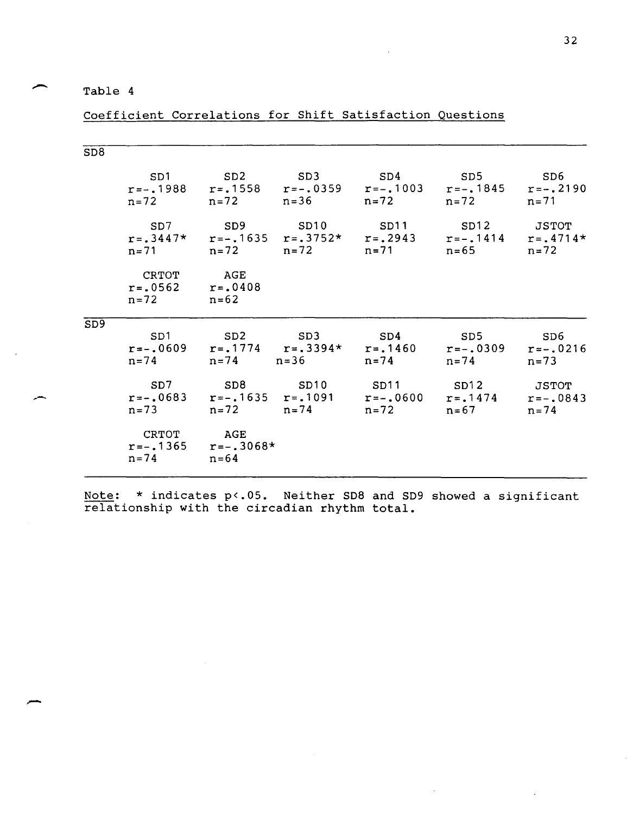## Table 4

-

# Coefficient Correlations for Shift Satisfaction Questions

| SD <sub>8</sub> |                                               |                                    |     |                                                                                                                                               |     |                 |
|-----------------|-----------------------------------------------|------------------------------------|-----|-----------------------------------------------------------------------------------------------------------------------------------------------|-----|-----------------|
|                 | SD1                                           | SD2                                | SD3 | SD4<br>$r=-.1988$ $r=.1558$ $r=-.0359$ $r=-.1003$ $r=-.1845$ $r=-.2190$<br>$n=72$ $n=72$ $n=36$ $n=72$ $n=71$                                 | SD5 | SD6             |
|                 |                                               |                                    |     | SD7 SD9 SD10 SD11 SD12 JSTOT<br>$r=.3447*$ $r=-.1635$ $r=.3752*$ $r=.2943$ $r=-.1414$ $r=.4714*$<br>$n=71$ $n=72$ $n=72$ $n=71$ $n=65$ $n=72$ |     |                 |
|                 | CRTOT<br>$r=.0562$ $r=.0408$<br>$n=72$ $n=62$ | AGE                                |     |                                                                                                                                               |     |                 |
| SD <sub>9</sub> | SD1                                           | SD2 SD3                            |     | SD4<br>$r=-.0609$ $r=.1774$ $r=.3394*$ $r=.1460$ $r=-.0309$ $r=-.0216$<br>$n=74$ $n=74$ $n=36$ $n=74$ $n=73$ $n=73$                           | SD5 | SD <sub>6</sub> |
|                 |                                               |                                    |     | SD7 SD8 SD10 SD11 SD12 JSTOT<br>$r=-.0683$ $r=-.1635$ $r=.1091$ $r=-.0600$ $r=.1474$ $r=-.0843$<br>$n=73$ $n=72$ $n=74$ $n=72$ $n=67$ $n=74$  |     |                 |
|                 | CRTOT AGE<br>$n=74$                           | $r=-.1365$ $r=-.3068*$<br>$n = 64$ |     |                                                                                                                                               |     |                 |

Note: \* indicates p<.05. Neither SD8 and SD9 showed a significant relationship with the circadian rhythm total.